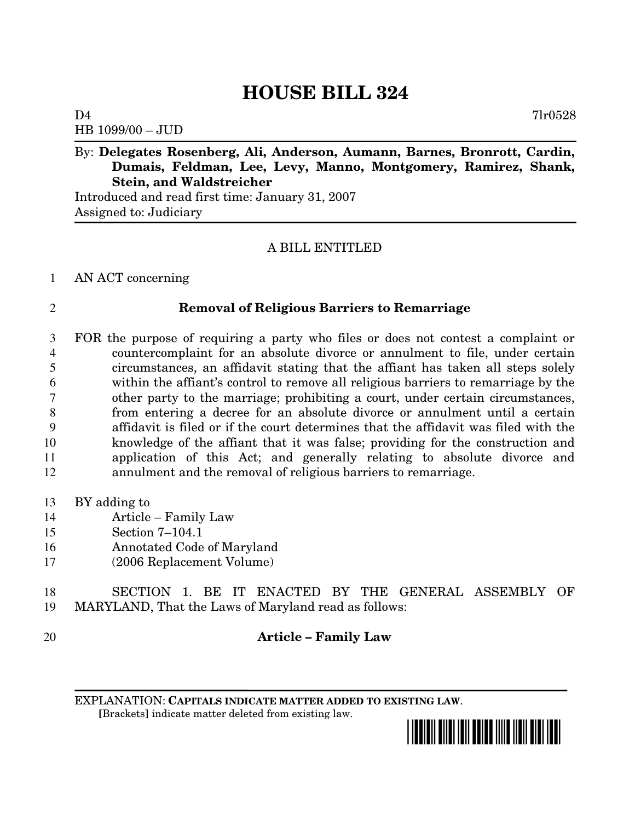# **HOUSE BILL 324**

 $D4$   $7lr0528$ HB 1099/00 – JUD

By: **Delegates Rosenberg, Ali, Anderson, Aumann, Barnes, Bronrott, Cardin, Dumais, Feldman, Lee, Levy, Manno, Montgomery, Ramirez, Shank, Stein, and Waldstreicher**

Introduced and read first time: January 31, 2007 Assigned to: Judiciary

### A BILL ENTITLED

#### AN ACT concerning

#### **Removal of Religious Barriers to Remarriage**

 FOR the purpose of requiring a party who files or does not contest a complaint or countercomplaint for an absolute divorce or annulment to file, under certain circumstances, an affidavit stating that the affiant has taken all steps solely within the affiant's control to remove all religious barriers to remarriage by the other party to the marriage; prohibiting a court, under certain circumstances, from entering a decree for an absolute divorce or annulment until a certain affidavit is filed or if the court determines that the affidavit was filed with the knowledge of the affiant that it was false; providing for the construction and application of this Act; and generally relating to absolute divorce and annulment and the removal of religious barriers to remarriage.

- BY adding to
- Article Family Law
- Section 7–104.1
- Annotated Code of Maryland
- (2006 Replacement Volume)

 SECTION 1. BE IT ENACTED BY THE GENERAL ASSEMBLY OF MARYLAND, That the Laws of Maryland read as follows:

## **Article – Family Law**

EXPLANATION: **CAPITALS INDICATE MATTER ADDED TO EXISTING LAW**. **[**Brackets**]** indicate matter deleted from existing law.